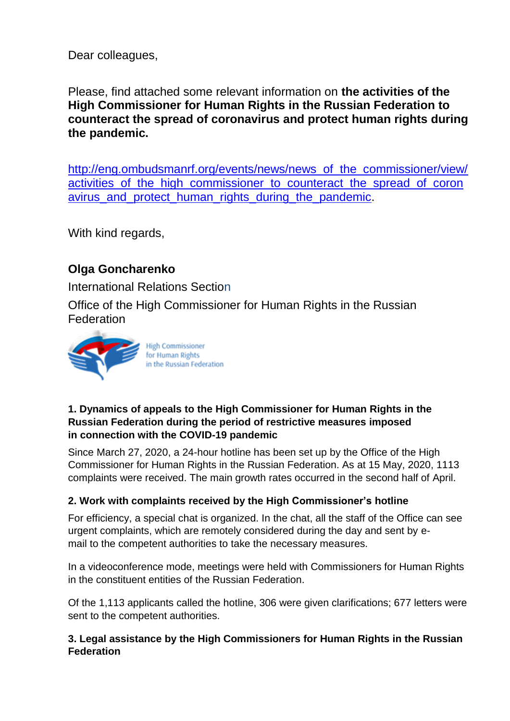Dear colleagues,

Please, find attached some relevant information on **the activities of the High Commissioner for Human Rights in the Russian Federation to counteract the spread of coronavirus and protect human rights during the pandemic.**

[http://eng.ombudsmanrf.org/events/news/news\\_of\\_the\\_commissioner/view/](http://eng.ombudsmanrf.org/events/news/news_of_the_commissioner/view/activities_of_the_high_commissioner_to_counteract_the_spread_of_coronavirus_and_protect_human_rights_during_the_pandemic) activities of the high commissioner to counteract the spread of coron avirus and protect human rights during the pandemic.

With kind regards,

# **Olga Goncharenko**

International Relations Section

Office of the High Commissioner for Human Rights in the Russian Federation



### **1. Dynamics of appeals to the High Commissioner for Human Rights in the Russian Federation during the period of restrictive measures imposed in connection with the COVID-19 pandemic**

Since March 27, 2020, a 24-hour hotline has been set up by the Office of the High Commissioner for Human Rights in the Russian Federation. As at 15 May, 2020, 1113 complaints were received. The main growth rates occurred in the second half of April.

## **2. Work with complaints received by the High Commissioner's hotline**

For efficiency, a special chat is organized. In the chat, all the staff of the Office can see urgent complaints, which are remotely considered during the day and sent by email to the competent authorities to take the necessary measures.

In a videoconference mode, meetings were held with Commissioners for Human Rights in the constituent entities of the Russian Federation.

Of the 1,113 applicants called the hotline, 306 were given clarifications; 677 letters were sent to the competent authorities.

### **3. Legal assistance by the High Commissioners for Human Rights in the Russian Federation**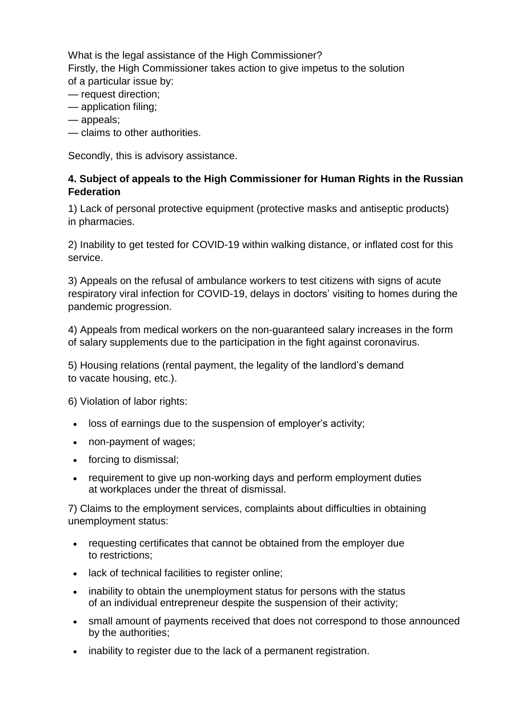What is the legal assistance of the High Commissioner? Firstly, the High Commissioner takes action to give impetus to the solution of a particular issue by:

- request direction;
- application filing;
- appeals;
- claims to other authorities.

Secondly, this is advisory assistance.

#### **4. Subject of appeals to the High Commissioner for Human Rights in the Russian Federation**

1) Lack of personal protective equipment (protective masks and antiseptic products) in pharmacies.

2) Inability to get tested for COVID-19 within walking distance, or inflated cost for this service.

3) Appeals on the refusal of ambulance workers to test citizens with signs of acute respiratory viral infection for COVID-19, delays in doctors' visiting to homes during the pandemic progression.

4) Appeals from medical workers on the non-guaranteed salary increases in the form of salary supplements due to the participation in the fight against coronavirus.

5) Housing relations (rental payment, the legality of the landlord's demand to vacate housing, etc.).

6) Violation of labor rights:

- loss of earnings due to the suspension of employer's activity;
- non-payment of wages;
- forcing to dismissal;
- requirement to give up non-working days and perform employment duties at workplaces under the threat of dismissal.

7) Claims to the employment services, complaints about difficulties in obtaining unemployment status:

- requesting certificates that cannot be obtained from the employer due to restrictions;
- lack of technical facilities to register online;
- inability to obtain the unemployment status for persons with the status of an individual entrepreneur despite the suspension of their activity;
- small amount of payments received that does not correspond to those announced by the authorities;
- inability to register due to the lack of a permanent registration.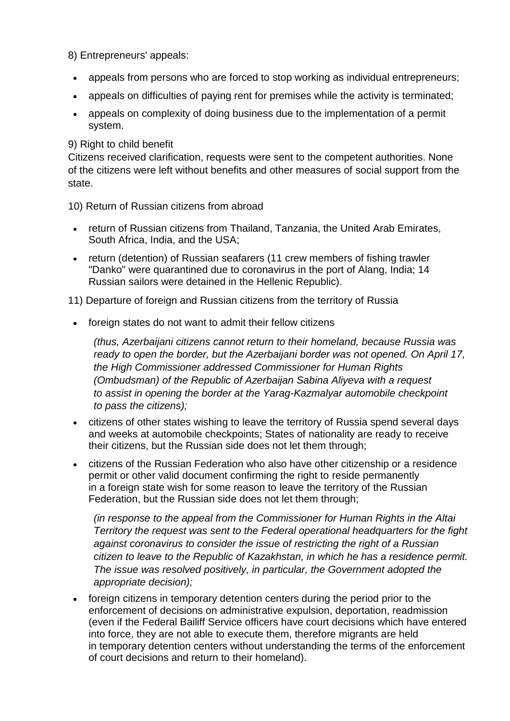8) Entrepreneurs' appeals:

- appeals from persons who are forced to stop working as individual entrepreneurs;
- appeals on difficulties of paying rent for premises while the activity is terminated;
- appeals on complexity of doing business due to the implementation of a permit system.

#### 9) Right to child benefit

Citizens received clarification, requests were sent to the competent authorities. None of the citizens were left without benefits and other measures of social support from the state.

10) Return of Russian citizens from abroad

- return of Russian citizens from Thailand, Tanzania, the United Arab Emirates, South Africa, India, and the USA;
- return (detention) of Russian seafarers (11 crew members of fishing trawler "Danko" were quarantined due to coronavirus in the port of Alang, India; 14 Russian sailors were detained in the Hellenic Republic).

11) Departure of foreign and Russian citizens from the territory of Russia

foreign states do not want to admit their fellow citizens

*(thus, Azerbaijani citizens cannot return to their homeland, because Russia was ready to open the border, but the Azerbaijani border was not opened. On April 17, the High Commissioner addressed Commissioner for Human Rights (Ombudsman) of the Republic of Azerbaijan Sabina Aliyeva with a request to assist in opening the border at the Yarag-Kazmalyar automobile checkpoint to pass the citizens);*

- citizens of other states wishing to leave the territory of Russia spend several days and weeks at automobile checkpoints; States of nationality are ready to receive their citizens, but the Russian side does not let them through;
- citizens of the Russian Federation who also have other citizenship or a residence permit or other valid document confirming the right to reside permanently in a foreign state wish for some reason to leave the territory of the Russian Federation, but the Russian side does not let them through;

*(in response to the appeal from the Commissioner for Human Rights in the Altai Territory the request was sent to the Federal operational headquarters for the fight against coronavirus to consider the issue of restricting the right of a Russian citizen to leave to the Republic of Kazakhstan, in which he has a residence permit. The issue was resolved positively, in particular, the Government adopted the appropriate decision);*

 foreign citizens in temporary detention centers during the period prior to the enforcement of decisions on administrative expulsion, deportation, readmission (even if the Federal Bailiff Service officers have court decisions which have entered into force, they are not able to execute them, therefore migrants are held in temporary detention centers without understanding the terms of the enforcement of court decisions and return to their homeland).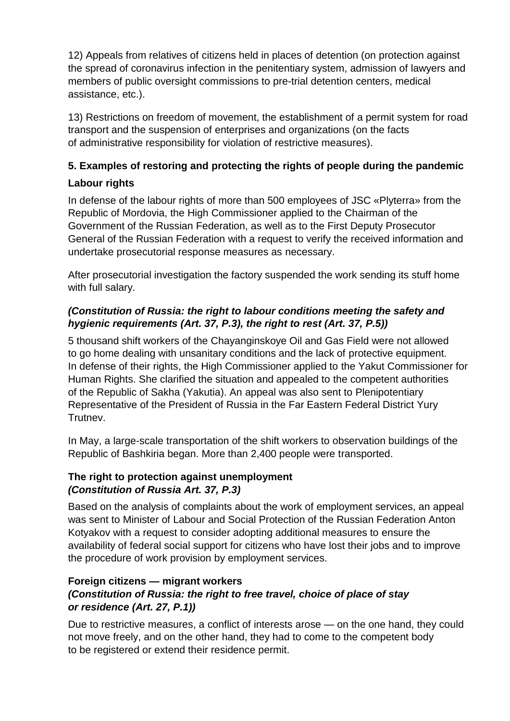12) Appeals from relatives of citizens held in places of detention (on protection against the spread of coronavirus infection in the penitentiary system, admission of lawyers and members of public oversight commissions to pre-trial detention centers, medical assistance, etc.).

13) Restrictions on freedom of movement, the establishment of a permit system for road transport and the suspension of enterprises and organizations (on the facts of administrative responsibility for violation of restrictive measures).

## **5. Examples of restoring and protecting the rights of people during the pandemic**

## **Labour rights**

In defense of the labour rights of more than 500 employees of JSC «Plyterra» from the Republic of Mordovia, the High Commissioner applied to the Chairman of the Government of the Russian Federation, as well as to the First Deputy Prosecutor General of the Russian Federation with a request to verify the received information and undertake prosecutorial response measures as necessary.

After prosecutorial investigation the factory suspended the work sending its stuff home with full salary.

## *(Constitution of Russia: the right to labour conditions meeting the safety and hygienic requirements (Art. 37, P.3), the right to rest (Art. 37, P.5))*

5 thousand shift workers of the Chayanginskoye Oil and Gas Field were not allowed to go home dealing with unsanitary conditions and the lack of protective equipment. In defense of their rights, the High Commissioner applied to the Yakut Commissioner for Human Rights. She clarified the situation and appealed to the competent authorities of the Republic of Sakha (Yakutia). An appeal was also sent to Plenipotentiary Representative of the President of Russia in the Far Eastern Federal District Yury Trutnev.

In May, a large-scale transportation of the shift workers to observation buildings of the Republic of Bashkiria began. More than 2,400 people were transported.

### **The right to protection against unemployment** *(Constitution of Russia Art. 37, P.3)*

Based on the analysis of complaints about the work of employment services, an appeal was sent to Minister of Labour and Social Protection of the Russian Federation Anton Kotyakov with a request to consider adopting additional measures to ensure the availability of federal social support for citizens who have lost their jobs and to improve the procedure of work provision by employment services.

## **Foreign citizens — migrant workers**

## *(Constitution of Russia: the right to free travel, choice of place of stay or residence (Art. 27, P.1))*

Due to restrictive measures, a conflict of interests arose — on the one hand, they could not move freely, and on the other hand, they had to come to the competent body to be registered or extend their residence permit.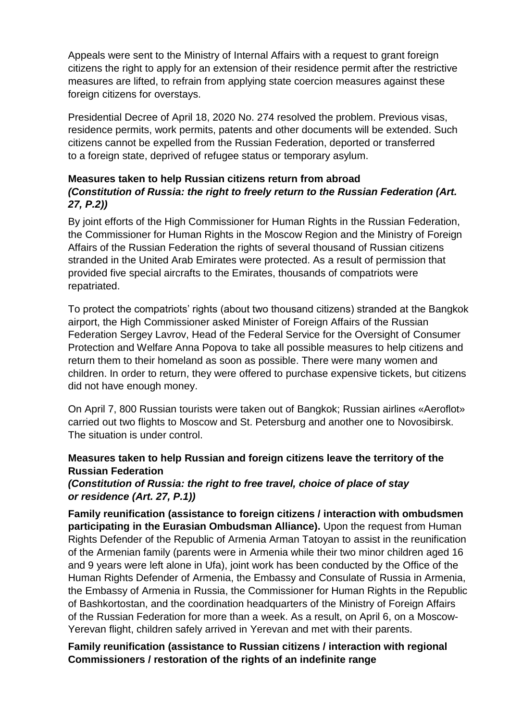Appeals were sent to the Ministry of Internal Affairs with a request to grant foreign citizens the right to apply for an extension of their residence permit after the restrictive measures are lifted, to refrain from applying state coercion measures against these foreign citizens for overstays.

Presidential Decree of April 18, 2020 No. 274 resolved the problem. Previous visas, residence permits, work permits, patents and other documents will be extended. Such citizens cannot be expelled from the Russian Federation, deported or transferred to a foreign state, deprived of refugee status or temporary asylum.

#### **Measures taken to help Russian citizens return from abroad** *(Constitution of Russia: the right to freely return to the Russian Federation (Art. 27, P.2))*

By joint efforts of the High Commissioner for Human Rights in the Russian Federation, the Commissioner for Human Rights in the Moscow Region and the Ministry of Foreign Affairs of the Russian Federation the rights of several thousand of Russian citizens stranded in the United Arab Emirates were protected. As a result of permission that provided five special aircrafts to the Emirates, thousands of compatriots were repatriated.

To protect the compatriots' rights (about two thousand citizens) stranded at the Bangkok airport, the High Commissioner asked Minister of Foreign Affairs of the Russian Federation Sergey Lavrov, Head of the Federal Service for the Oversight of Consumer Protection and Welfare Anna Popova to take all possible measures to help citizens and return them to their homeland as soon as possible. There were many women and children. In order to return, they were offered to purchase expensive tickets, but citizens did not have enough money.

On April 7, 800 Russian tourists were taken out of Bangkok; Russian airlines «Aeroflot» carried out two flights to Moscow and St. Petersburg and another one to Novosibirsk. The situation is under control.

### **Measures taken to help Russian and foreign citizens leave the territory of the Russian Federation**

#### *(Constitution of Russia: the right to free travel, choice of place of stay or residence (Art. 27, P.1))*

**Family reunification (assistance to foreign citizens / interaction with ombudsmen participating in the Eurasian Ombudsman Alliance).** Upon the request from Human Rights Defender of the Republic of Armenia Arman Tatoyan to assist in the reunification of the Armenian family (parents were in Armenia while their two minor children aged 16 and 9 years were left alone in Ufa), joint work has been conducted by the Office of the Human Rights Defender of Armenia, the Embassy and Consulate of Russia in Armenia, the Embassy of Armenia in Russia, the Commissioner for Human Rights in the Republic of Bashkortostan, and the coordination headquarters of the Ministry of Foreign Affairs of the Russian Federation for more than a week. As a result, on April 6, on a Moscow-Yerevan flight, children safely arrived in Yerevan and met with their parents.

#### **Family reunification (assistance to Russian citizens / interaction with regional Commissioners / restoration of the rights of an indefinite range**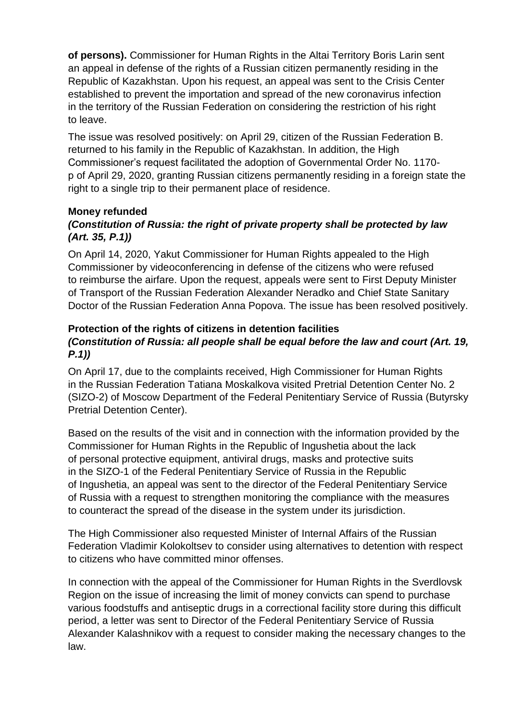**of persons).** Commissioner for Human Rights in the Altai Territory Boris Larin sent an appeal in defense of the rights of a Russian citizen permanently residing in the Republic of Kazakhstan. Upon his request, an appeal was sent to the Crisis Center established to prevent the importation and spread of the new coronavirus infection in the territory of the Russian Federation on considering the restriction of his right to leave.

The issue was resolved positively: on April 29, citizen of the Russian Federation B. returned to his family in the Republic of Kazakhstan. In addition, the High Commissioner's request facilitated the adoption of Governmental Order No. 1170 р of April 29, 2020, granting Russian citizens permanently residing in a foreign state the right to a single trip to their permanent place of residence.

#### **Money refunded**

### *(Constitution of Russia: the right of private property shall be protected by law (Art. 35, P.1))*

On April 14, 2020, Yakut Commissioner for Human Rights appealed to the High Commissioner by videoconferencing in defense of the citizens who were refused to reimburse the airfare. Upon the request, appeals were sent to First Deputy Minister of Transport of the Russian Federation Alexander Neradko and Chief State Sanitary Doctor of the Russian Federation Anna Popova. The issue has been resolved positively.

#### **Protection of the rights of citizens in detention facilities** *(Constitution of Russia: all people shall be equal before the law and court (Art. 19, P.1))*

On April 17, due to the complaints received, High Commissioner for Human Rights in the Russian Federation Tatiana Moskalkova visited Pretrial Detention Center No. 2 (SIZO-2) of Moscow Department of the Federal Penitentiary Service of Russia (Butyrsky Pretrial Detention Center).

Based on the results of the visit and in connection with the information provided by the Commissioner for Human Rights in the Republic of Ingushetia about the lack of personal protective equipment, antiviral drugs, masks and protective suits in the SIZO-1 of the Federal Penitentiary Service of Russia in the Republic of Ingushetia, an appeal was sent to the director of the Federal Penitentiary Service of Russia with a request to strengthen monitoring the compliance with the measures to counteract the spread of the disease in the system under its jurisdiction.

The High Commissioner also requested Minister of Internal Affairs of the Russian Federation Vladimir Kolokoltsev to consider using alternatives to detention with respect to citizens who have committed minor offenses.

In connection with the appeal of the Commissioner for Human Rights in the Sverdlovsk Region on the issue of increasing the limit of money convicts can spend to purchase various foodstuffs and antiseptic drugs in a correctional facility store during this difficult period, a letter was sent to Director of the Federal Penitentiary Service of Russia Alexander Kalashnikov with a request to consider making the necessary changes to the law.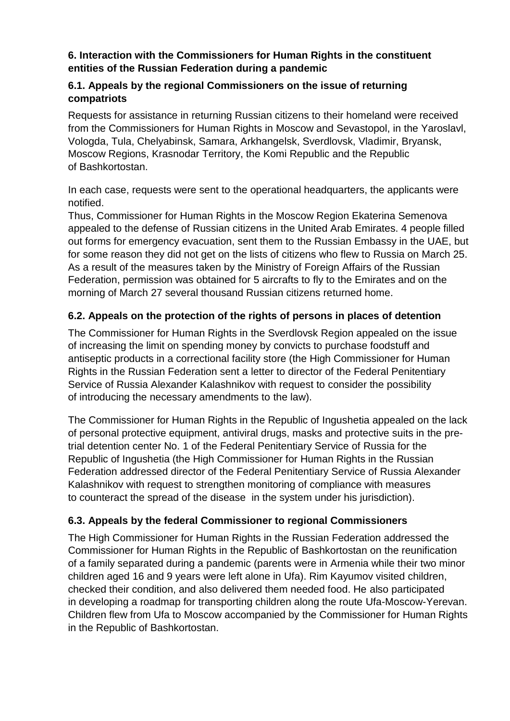#### **6. Interaction with the Commissioners for Human Rights in the constituent entities of the Russian Federation during a pandemic**

#### **6.1. Appeals by the regional Commissioners on the issue of returning compatriots**

Requests for assistance in returning Russian citizens to their homeland were received from the Commissioners for Human Rights in Moscow and Sevastopol, in the Yaroslavl, Vologda, Tula, Chelyabinsk, Samara, Arkhangelsk, Sverdlovsk, Vladimir, Bryansk, Moscow Regions, Krasnodar Territory, the Komi Republic and the Republic of Bashkortostan.

In each case, requests were sent to the operational headquarters, the applicants were notified.

Thus, Commissioner for Human Rights in the Moscow Region Ekaterina Semenova appealed to the defense of Russian citizens in the United Arab Emirates. 4 people filled out forms for emergency evacuation, sent them to the Russian Embassy in the UAE, but for some reason they did not get on the lists of citizens who flew to Russia on March 25. As a result of the measures taken by the Ministry of Foreign Affairs of the Russian Federation, permission was obtained for 5 aircrafts to fly to the Emirates and on the morning of March 27 several thousand Russian citizens returned home.

## **6.2. Appeals on the protection of the rights of persons in places of detention**

The Commissioner for Human Rights in the Sverdlovsk Region appealed on the issue of increasing the limit on spending money by convicts to purchase foodstuff and antiseptic products in a correctional facility store (the High Commissioner for Human Rights in the Russian Federation sent a letter to director of the Federal Penitentiary Service of Russia Alexander Kalashnikov with request to consider the possibility of introducing the necessary amendments to the law).

The Commissioner for Human Rights in the Republic of Ingushetia appealed on the lack of personal protective equipment, antiviral drugs, masks and protective suits in the pretrial detention center No. 1 of the Federal Penitentiary Service of Russia for the Republic of Ingushetia (the High Commissioner for Human Rights in the Russian Federation addressed director of the Federal Penitentiary Service of Russia Alexander Kalashnikov with request to strengthen monitoring of compliance with measures to counteract the spread of the disease in the system under his jurisdiction).

## **6.3. Appeals by the federal Commissioner to regional Commissioners**

The High Commissioner for Human Rights in the Russian Federation addressed the Commissioner for Human Rights in the Republic of Bashkortostan on the reunification of a family separated during a pandemic (parents were in Armenia while their two minor children aged 16 and 9 years were left alone in Ufa). Rim Kayumov visited children, checked their condition, and also delivered them needed food. He also participated in developing a roadmap for transporting children along the route Ufa-Moscow-Yerevan. Children flew from Ufa to Moscow accompanied by the Commissioner for Human Rights in the Republic of Bashkortostan.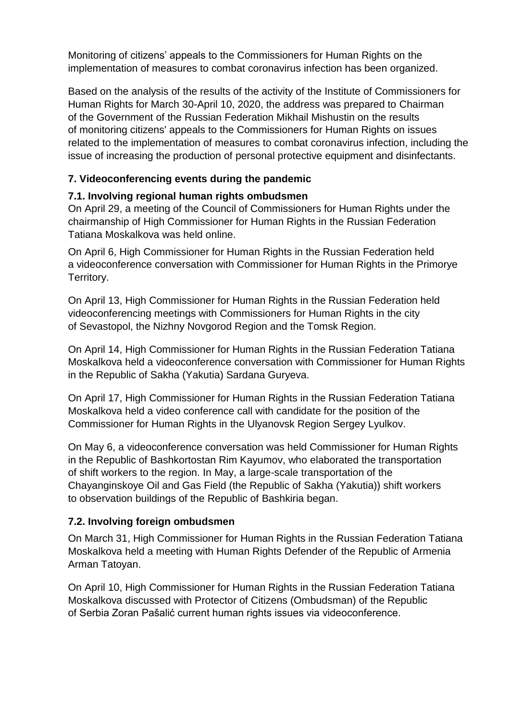Monitoring of citizens' appeals to the Commissioners for Human Rights on the implementation of measures to combat coronavirus infection has been organized.

Based on the analysis of the results of the activity of the Institute of Commissioners for Human Rights for March 30-April 10, 2020, the address was prepared to Chairman of the Government of the Russian Federation Mikhail Mishustin on the results of monitoring citizens' appeals to the Commissioners for Human Rights on issues related to the implementation of measures to combat coronavirus infection, including the issue of increasing the production of personal protective equipment and disinfectants.

## **7. Videoconferencing events during the pandemic**

## **7.1. Involving regional human rights ombudsmen**

On April 29, a meeting of the Council of Commissioners for Human Rights under the chairmanship of High Commissioner for Human Rights in the Russian Federation Tatiana Moskalkova was held online.

On April 6, High Commissioner for Human Rights in the Russian Federation held a videoconference conversation with Commissioner for Human Rights in the Primorye Territory.

On April 13, High Commissioner for Human Rights in the Russian Federation held videoconferencing meetings with Commissioners for Human Rights in the city of Sevastopol, the Nizhny Novgorod Region and the Tomsk Region.

On April 14, High Commissioner for Human Rights in the Russian Federation Tatiana Moskalkova held a videoconference conversation with Commissioner for Human Rights in the Republic of Sakha (Yakutia) Sardana Guryeva.

On April 17, High Commissioner for Human Rights in the Russian Federation Tatiana Moskalkova held a video conference call with candidate for the position of the Commissioner for Human Rights in the Ulyanovsk Region Sergey Lyulkov.

On May 6, a videoconference conversation was held Commissioner for Human Rights in the Republic of Bashkortostan Rim Kayumov, who elaborated the transportation of shift workers to the region. In May, a large-scale transportation of the Chayanginskoye Oil and Gas Field (the Republic of Sakha (Yakutia)) shift workers to observation buildings of the Republic of Bashkiria began.

## **7.2. Involving foreign ombudsmen**

On March 31, High Commissioner for Human Rights in the Russian Federation Tatiana Moskalkova held a meeting with Human Rights Defender of the Republic of Armenia Arman Tatoyan.

On April 10, High Commissioner for Human Rights in the Russian Federation Tatiana Moskalkova discussed with Protector of Citizens (Ombudsman) of the Republic of Serbia Zoran Pašalić current human rights issues via videoconference.